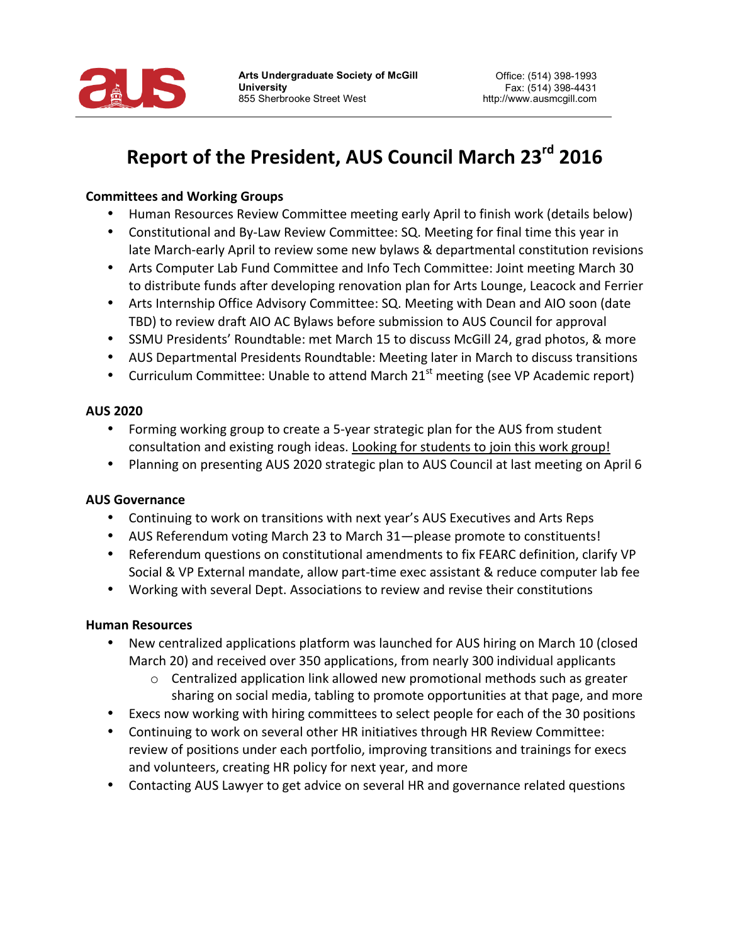

# **Report of the President, AUS Council March 23rd 2016**

## **Committees and Working Groups**

- Human Resources Review Committee meeting early April to finish work (details below)
- Constitutional and By-Law Review Committee: SQ. Meeting for final time this year in late March-early April to review some new bylaws & departmental constitution revisions
- Arts Computer Lab Fund Committee and Info Tech Committee: Joint meeting March 30 to distribute funds after developing renovation plan for Arts Lounge, Leacock and Ferrier
- Arts Internship Office Advisory Committee: SQ. Meeting with Dean and AIO soon (date TBD) to review draft AIO AC Bylaws before submission to AUS Council for approval
- SSMU Presidents' Roundtable: met March 15 to discuss McGill 24, grad photos, & more
- AUS Departmental Presidents Roundtable: Meeting later in March to discuss transitions
- Curriculum Committee: Unable to attend March  $21^{st}$  meeting (see VP Academic report)

## **AUS 2020**

- Forming working group to create a 5-year strategic plan for the AUS from student consultation and existing rough ideas. Looking for students to join this work group!
- Planning on presenting AUS 2020 strategic plan to AUS Council at last meeting on April 6

#### **AUS Governance**

- Continuing to work on transitions with next year's AUS Executives and Arts Reps
- AUS Referendum voting March 23 to March 31—please promote to constituents!
- Referendum questions on constitutional amendments to fix FEARC definition, clarify VP Social & VP External mandate, allow part-time exec assistant & reduce computer lab fee
- Working with several Dept. Associations to review and revise their constitutions

# **Human Resources**

- New centralized applications platform was launched for AUS hiring on March 10 (closed March 20) and received over 350 applications, from nearly 300 individual applicants
	- $\circ$  Centralized application link allowed new promotional methods such as greater sharing on social media, tabling to promote opportunities at that page, and more
- Execs now working with hiring committees to select people for each of the 30 positions
- Continuing to work on several other HR initiatives through HR Review Committee: review of positions under each portfolio, improving transitions and trainings for execs and volunteers, creating HR policy for next year, and more
- Contacting AUS Lawyer to get advice on several HR and governance related questions